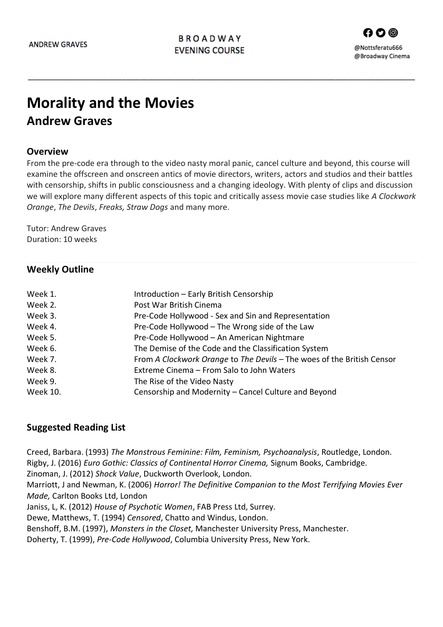\_\_\_\_\_\_\_\_\_\_\_\_\_\_\_\_\_\_\_\_\_\_\_\_\_\_\_\_\_\_\_\_\_\_\_\_\_\_\_\_\_\_\_\_\_\_\_\_\_\_\_\_\_\_\_\_\_\_\_\_\_\_\_\_\_\_\_\_\_\_\_\_\_\_\_\_\_\_\_\_\_\_\_\_\_\_\_

# **Morality and the Movies**

## **Andrew Graves**

#### **Overview**

From the pre-code era through to the video nasty moral panic, cancel culture and beyond, this course will examine the offscreen and onscreen antics of movie directors, writers, actors and studios and their battles with censorship, shifts in public consciousness and a changing ideology. With plenty of clips and discussion we will explore many different aspects of this topic and critically assess movie case studies like *A Clockwork Orange*, *The Devils*, *Freaks, Straw Dogs* and many more.

Tutor: Andrew Graves Duration: 10 weeks

#### **Weekly Outline**

| Week 1.  | Introduction - Early British Censorship                                |
|----------|------------------------------------------------------------------------|
| Week 2.  | Post War British Cinema                                                |
| Week 3.  | Pre-Code Hollywood - Sex and Sin and Representation                    |
| Week 4.  | Pre-Code Hollywood - The Wrong side of the Law                         |
| Week 5.  | Pre-Code Hollywood - An American Nightmare                             |
| Week 6.  | The Demise of the Code and the Classification System                   |
| Week 7.  | From A Clockwork Orange to The Devils - The woes of the British Censor |
| Week 8.  | Extreme Cinema - From Salo to John Waters                              |
| Week 9.  | The Rise of the Video Nasty                                            |
| Week 10. | Censorship and Modernity - Cancel Culture and Beyond                   |

#### **Suggested Reading List**

Creed, Barbara. (1993) *The Monstrous Feminine: Film, Feminism, Psychoanalysis*, Routledge, London. Rigby, J. (2016) *Euro Gothic: Classics of Continental Horror Cinema,* Signum Books, Cambridge.

Zinoman, J. (2012) *Shock Value*, Duckworth Overlook, London.

Marriott, J and Newman, K. (2006) *Horror! The Definitive Companion to the Most Terrifying Movies Ever Made,* Carlton Books Ltd, London

Janiss, L, K. (2012) *House of Psychotic Women*, FAB Press Ltd, Surrey.

Dewe, Matthews, T. (1994) *Censored*, Chatto and Windus, London.

Benshoff, B.M. (1997), *Monsters in the Closet,* Manchester University Press, Manchester.

Doherty, T. (1999), *Pre-Code Hollywood*, Columbia University Press, New York.